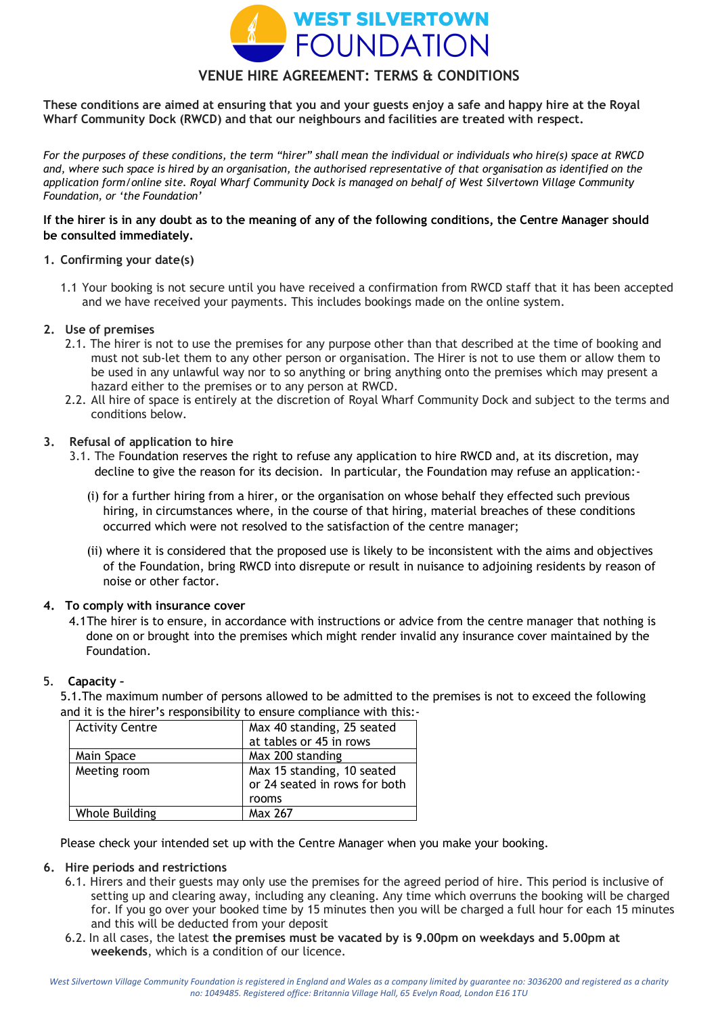

# **VENUE HIRE AGREEMENT: TERMS & CONDITIONS**

**These conditions are aimed at ensuring that you and your guests enjoy a safe and happy hire at the Royal Wharf Community Dock (RWCD) and that our neighbours and facilities are treated with respect.**

*For the purposes of these conditions, the term "hirer" shall mean the individual or individuals who hire(s) space at RWCD and, where such space is hired by an organisation, the authorised representative of that organisation as identified on the application form/online site. Royal Wharf Community Dock is managed on behalf of West Silvertown Village Community Foundation, or 'the Foundation'* 

### **If the hirer is in any doubt as to the meaning of any of the following conditions, the Centre Manager should be consulted immediately.**

### **1. Confirming your date(s)**

1.1 Your booking is not secure until you have received a confirmation from RWCD staff that it has been accepted and we have received your payments. This includes bookings made on the online system.

### **2. Use of premises**

- 2.1. The hirer is not to use the premises for any purpose other than that described at the time of booking and must not sub-let them to any other person or organisation. The Hirer is not to use them or allow them to be used in any unlawful way nor to so anything or bring anything onto the premises which may present a hazard either to the premises or to any person at RWCD.
- 2.2. All hire of space is entirely at the discretion of Royal Wharf Community Dock and subject to the terms and conditions below.

### **3. Refusal of application to hire**

- 3.1. The Foundation reserves the right to refuse any application to hire RWCD and, at its discretion, may decline to give the reason for its decision. In particular, the Foundation may refuse an application:-
	- (i) for a further hiring from a hirer, or the organisation on whose behalf they effected such previous hiring, in circumstances where, in the course of that hiring, material breaches of these conditions occurred which were not resolved to the satisfaction of the centre manager;
	- (ii) where it is considered that the proposed use is likely to be inconsistent with the aims and objectives of the Foundation, bring RWCD into disrepute or result in nuisance to adjoining residents by reason of noise or other factor.

### **4. To comply with insurance cover**

4.1The hirer is to ensure, in accordance with instructions or advice from the centre manager that nothing is done on or brought into the premises which might render invalid any insurance cover maintained by the Foundation.

#### 5. **Capacity –**

5.1.The maximum number of persons allowed to be admitted to the premises is not to exceed the following and it is the hirer's responsibility to ensure compliance with this:-

| <b>Activity Centre</b> | Max 40 standing, 25 seated<br>at tables or 45 in rows       |
|------------------------|-------------------------------------------------------------|
| Main Space             | Max 200 standing                                            |
| Meeting room           | Max 15 standing, 10 seated<br>or 24 seated in rows for both |
|                        | rooms                                                       |
| Whole Building         | Max 267                                                     |

Please check your intended set up with the Centre Manager when you make your booking.

#### **6. Hire periods and restrictions**

- 6.1. Hirers and their guests may only use the premises for the agreed period of hire. This period is inclusive of setting up and clearing away, including any cleaning. Any time which overruns the booking will be charged for. If you go over your booked time by 15 minutes then you will be charged a full hour for each 15 minutes and this will be deducted from your deposit
- 6.2. In all cases, the latest **the premises must be vacated by is 9.00pm on weekdays and 5.00pm at weekends**, which is a condition of our licence.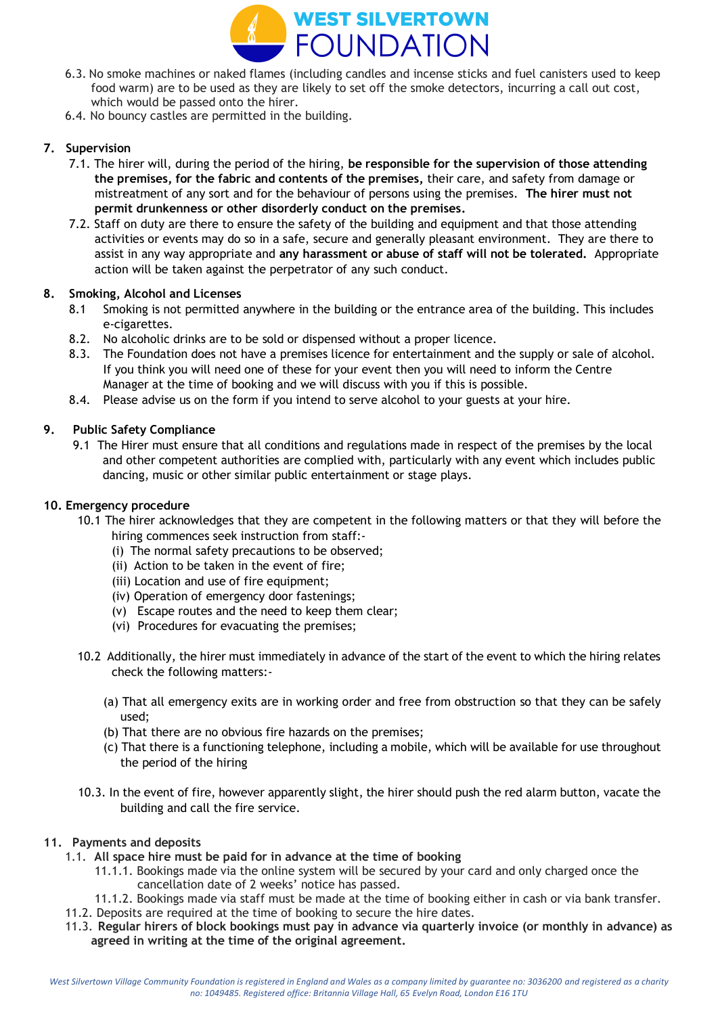

- 6.3. No smoke machines or naked flames (including candles and incense sticks and fuel canisters used to keep food warm) are to be used as they are likely to set off the smoke detectors, incurring a call out cost, which would be passed onto the hirer.
- 6.4. No bouncy castles are permitted in the building.

# **7. Supervision**

- 7.1. The hirer will, during the period of the hiring, **be responsible for the supervision of those attending the premises, for the fabric and contents of the premises,** their care, and safety from damage or mistreatment of any sort and for the behaviour of persons using the premises. **The hirer must not permit drunkenness or other disorderly conduct on the premises.**
- 7.2. Staff on duty are there to ensure the safety of the building and equipment and that those attending activities or events may do so in a safe, secure and generally pleasant environment. They are there to assist in any way appropriate and **any harassment or abuse of staff will not be tolerated.** Appropriate action will be taken against the perpetrator of any such conduct.

# **8. Smoking, Alcohol and Licenses**

- 8.1 Smoking is not permitted anywhere in the building or the entrance area of the building. This includes e-cigarettes.
- 8.2. No alcoholic drinks are to be sold or dispensed without a proper licence.
- 8.3. The Foundation does not have a premises licence for entertainment and the supply or sale of alcohol. If you think you will need one of these for your event then you will need to inform the Centre Manager at the time of booking and we will discuss with you if this is possible.
- 8.4. Please advise us on the form if you intend to serve alcohol to your guests at your hire.

# **9. Public Safety Compliance**

9.1 The Hirer must ensure that all conditions and regulations made in respect of the premises by the local and other competent authorities are complied with, particularly with any event which includes public dancing, music or other similar public entertainment or stage plays.

### **10. Emergency procedure**

- 10.1 The hirer acknowledges that they are competent in the following matters or that they will before the hiring commences seek instruction from staff:-
	- (i) The normal safety precautions to be observed;
	- (ii) Action to be taken in the event of fire;
	- (iii) Location and use of fire equipment;
	- (iv) Operation of emergency door fastenings;
	- (v) Escape routes and the need to keep them clear;
	- (vi) Procedures for evacuating the premises;
	- 10.2 Additionally, the hirer must immediately in advance of the start of the event to which the hiring relates check the following matters:-
		- (a) That all emergency exits are in working order and free from obstruction so that they can be safely used;
		- (b) That there are no obvious fire hazards on the premises;
		- (c) That there is a functioning telephone, including a mobile, which will be available for use throughout the period of the hiring
	- 10.3. In the event of fire, however apparently slight, the hirer should push the red alarm button, vacate the building and call the fire service.

### **11. Payments and deposits**

- 1.1. **All space hire must be paid for in advance at the time of booking**
	- 11.1.1. Bookings made via the online system will be secured by your card and only charged once the cancellation date of 2 weeks' notice has passed.
	- 11.1.2. Bookings made via staff must be made at the time of booking either in cash or via bank transfer.
- 11.2. Deposits are required at the time of booking to secure the hire dates.
- 11.3. **Regular hirers of block bookings must pay in advance via quarterly invoice (or monthly in advance) as agreed in writing at the time of the original agreement.**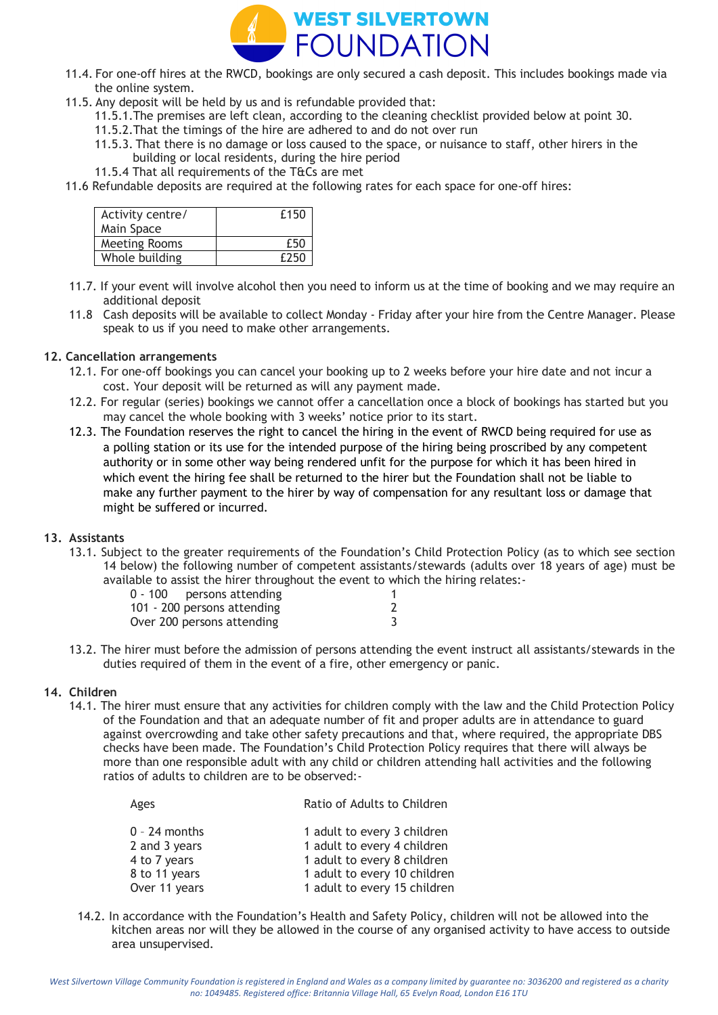

- 11.4. For one-off hires at the RWCD, bookings are only secured a cash deposit. This includes bookings made via the online system.
- 11.5. Any deposit will be held by us and is refundable provided that:
	- 11.5.1.The premises are left clean, according to the cleaning checklist provided below at point 30.
	- 11.5.2.That the timings of the hire are adhered to and do not over run
	- 11.5.3. That there is no damage or loss caused to the space, or nuisance to staff, other hirers in the building or local residents, during the hire period
	- 11.5.4 That all requirements of the T&Cs are met
- 11.6 Refundable deposits are required at the following rates for each space for one-off hires:

| Activity centre/     | £150 |
|----------------------|------|
| Main Space           |      |
| <b>Meeting Rooms</b> | £50  |
| Whole building       | £250 |

- 11.7. If your event will involve alcohol then you need to inform us at the time of booking and we may require an additional deposit
- 11.8 Cash deposits will be available to collect Monday Friday after your hire from the Centre Manager. Please speak to us if you need to make other arrangements.

### **12. Cancellation arrangements**

- 12.1. For one-off bookings you can cancel your booking up to 2 weeks before your hire date and not incur a cost. Your deposit will be returned as will any payment made.
- 12.2. For regular (series) bookings we cannot offer a cancellation once a block of bookings has started but you may cancel the whole booking with 3 weeks' notice prior to its start.
- 12.3. The Foundation reserves the right to cancel the hiring in the event of RWCD being required for use as a polling station or its use for the intended purpose of the hiring being proscribed by any competent authority or in some other way being rendered unfit for the purpose for which it has been hired in which event the hiring fee shall be returned to the hirer but the Foundation shall not be liable to make any further payment to the hirer by way of compensation for any resultant loss or damage that might be suffered or incurred.

### **13. Assistants**

13.1. Subject to the greater requirements of the Foundation's Child Protection Policy (as to which see section 14 below) the following number of competent assistants/stewards (adults over 18 years of age) must be available to assist the hirer throughout the event to which the hiring relates:-

| $0 - 100$ persons attending |  |
|-----------------------------|--|
| 101 - 200 persons attending |  |
| Over 200 persons attending  |  |

13.2. The hirer must before the admission of persons attending the event instruct all assistants/stewards in the duties required of them in the event of a fire, other emergency or panic.

#### **14. Children**

14.1. The hirer must ensure that any activities for children comply with the law and the Child Protection Policy of the Foundation and that an adequate number of fit and proper adults are in attendance to guard against overcrowding and take other safety precautions and that, where required, the appropriate DBS checks have been made. The Foundation's Child Protection Policy requires that there will always be more than one responsible adult with any child or children attending hall activities and the following ratios of adults to children are to be observed:-

| Agus            | <u>Katio of Agatts to Chital Chi</u> |
|-----------------|--------------------------------------|
| $0 - 24$ months | 1 adult to every 3 children          |
| 2 and 3 years   | 1 adult to every 4 children          |
| 4 to 7 years    | 1 adult to every 8 children          |
| 8 to 11 years   | 1 adult to every 10 children         |
| Over 11 years   | 1 adult to every 15 children         |
|                 |                                      |

Ages Ratio of Adults to Children

14.2. In accordance with the Foundation's Health and Safety Policy, children will not be allowed into the kitchen areas nor will they be allowed in the course of any organised activity to have access to outside area unsupervised.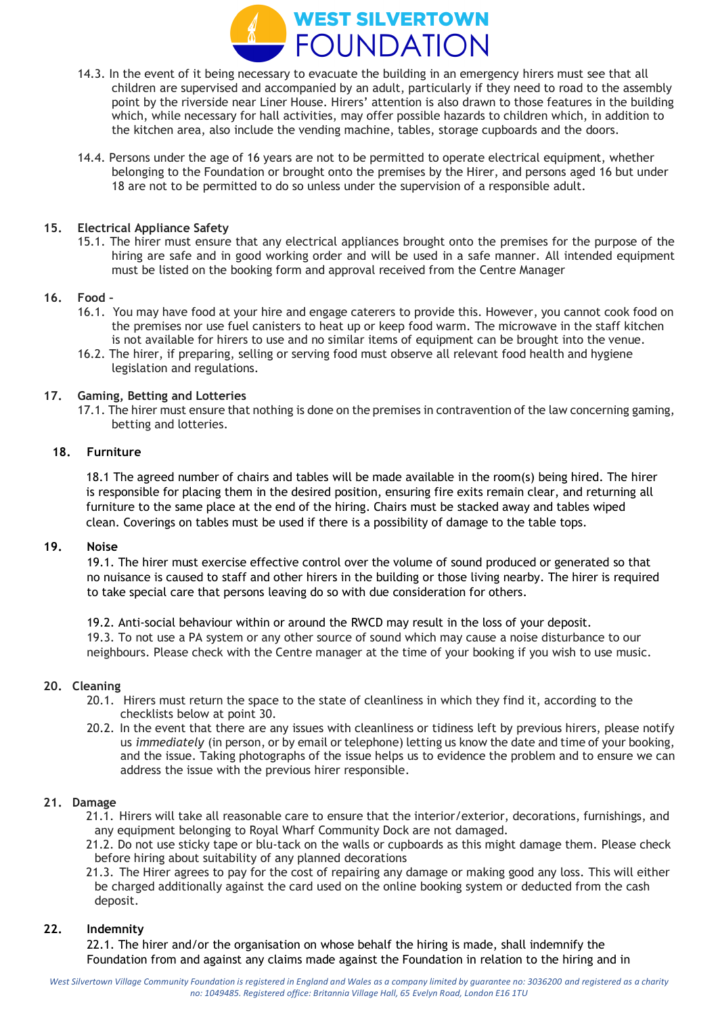

- 14.3. In the event of it being necessary to evacuate the building in an emergency hirers must see that all children are supervised and accompanied by an adult, particularly if they need to road to the assembly point by the riverside near Liner House. Hirers' attention is also drawn to those features in the building which, while necessary for hall activities, may offer possible hazards to children which, in addition to the kitchen area, also include the vending machine, tables, storage cupboards and the doors.
- 14.4. Persons under the age of 16 years are not to be permitted to operate electrical equipment, whether belonging to the Foundation or brought onto the premises by the Hirer, and persons aged 16 but under 18 are not to be permitted to do so unless under the supervision of a responsible adult.

### **15. Electrical Appliance Safety**

15.1. The hirer must ensure that any electrical appliances brought onto the premises for the purpose of the hiring are safe and in good working order and will be used in a safe manner. All intended equipment must be listed on the booking form and approval received from the Centre Manager

### **16. Food –**

- 16.1. You may have food at your hire and engage caterers to provide this. However, you cannot cook food on the premises nor use fuel canisters to heat up or keep food warm. The microwave in the staff kitchen is not available for hirers to use and no similar items of equipment can be brought into the venue.
- 16.2. The hirer, if preparing, selling or serving food must observe all relevant food health and hygiene legislation and regulations.

### **17. Gaming, Betting and Lotteries**

17.1. The hirer must ensure that nothing is done on the premises in contravention of the law concerning gaming, betting and lotteries.

### **18. Furniture**

18.1 The agreed number of chairs and tables will be made available in the room(s) being hired. The hirer is responsible for placing them in the desired position, ensuring fire exits remain clear, and returning all furniture to the same place at the end of the hiring. Chairs must be stacked away and tables wiped clean. Coverings on tables must be used if there is a possibility of damage to the table tops.

## **19. Noise**

19.1. The hirer must exercise effective control over the volume of sound produced or generated so that no nuisance is caused to staff and other hirers in the building or those living nearby. The hirer is required to take special care that persons leaving do so with due consideration for others.

19.2. Anti-social behaviour within or around the RWCD may result in the loss of your deposit. 19.3. To not use a PA system or any other source of sound which may cause a noise disturbance to our neighbours. Please check with the Centre manager at the time of your booking if you wish to use music.

#### **20. Cleaning**

- 20.1. Hirers must return the space to the state of cleanliness in which they find it, according to the checklists below at point 30.
- 20.2. In the event that there are any issues with cleanliness or tidiness left by previous hirers, please notify us *immediately* (in person, or by email or telephone) letting us know the date and time of your booking, and the issue. Taking photographs of the issue helps us to evidence the problem and to ensure we can address the issue with the previous hirer responsible.

#### **21. Damage**

- 21.1. Hirers will take all reasonable care to ensure that the interior/exterior, decorations, furnishings, and any equipment belonging to Royal Wharf Community Dock are not damaged.
- 21.2. Do not use sticky tape or blu-tack on the walls or cupboards as this might damage them. Please check before hiring about suitability of any planned decorations
- 21.3. The Hirer agrees to pay for the cost of repairing any damage or making good any loss. This will either be charged additionally against the card used on the online booking system or deducted from the cash deposit.

### **22. Indemnity**

22.1. The hirer and/or the organisation on whose behalf the hiring is made, shall indemnify the Foundation from and against any claims made against the Foundation in relation to the hiring and in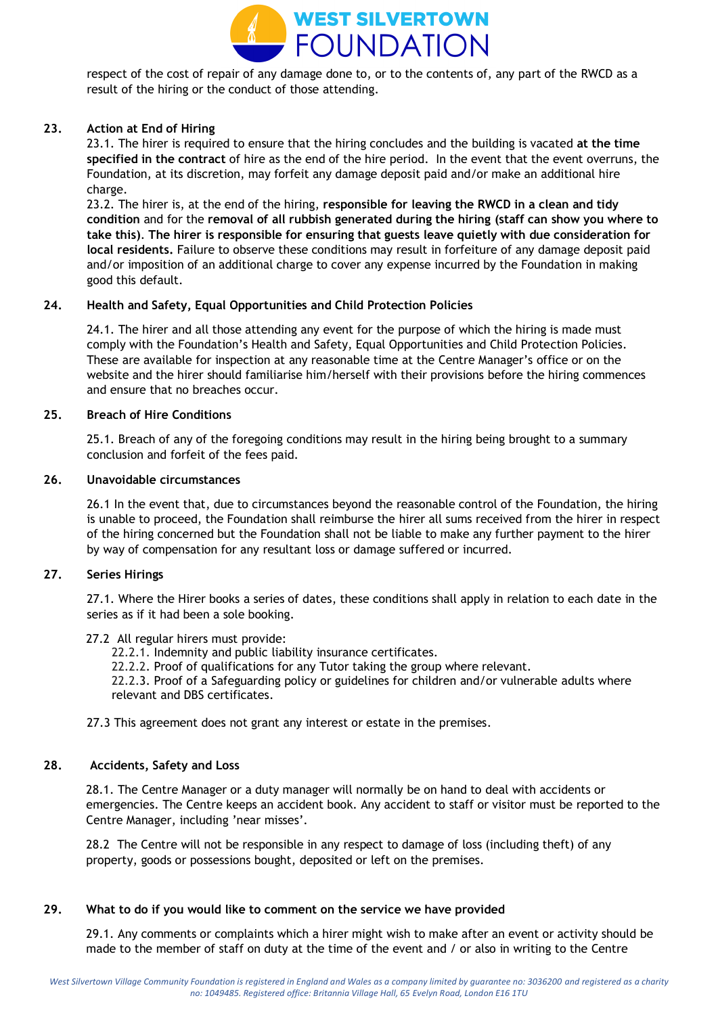

respect of the cost of repair of any damage done to, or to the contents of, any part of the RWCD as a result of the hiring or the conduct of those attending.

# **23. Action at End of Hiring**

23.1. The hirer is required to ensure that the hiring concludes and the building is vacated **at the time specified in the contract** of hire as the end of the hire period. In the event that the event overruns, the Foundation, at its discretion, may forfeit any damage deposit paid and/or make an additional hire charge.

23.2. The hirer is, at the end of the hiring, **responsible for leaving the RWCD in a clean and tidy condition** and for the **removal of all rubbish generated during the hiring (staff can show you where to take this)**. **The hirer is responsible for ensuring that guests leave quietly with due consideration for local residents.** Failure to observe these conditions may result in forfeiture of any damage deposit paid and/or imposition of an additional charge to cover any expense incurred by the Foundation in making good this default.

### **24. Health and Safety, Equal Opportunities and Child Protection Policies**

24.1. The hirer and all those attending any event for the purpose of which the hiring is made must comply with the Foundation's Health and Safety, Equal Opportunities and Child Protection Policies. These are available for inspection at any reasonable time at the Centre Manager's office or on the website and the hirer should familiarise him/herself with their provisions before the hiring commences and ensure that no breaches occur.

### **25. Breach of Hire Conditions**

25.1. Breach of any of the foregoing conditions may result in the hiring being brought to a summary conclusion and forfeit of the fees paid.

### **26. Unavoidable circumstances**

26.1 In the event that, due to circumstances beyond the reasonable control of the Foundation, the hiring is unable to proceed, the Foundation shall reimburse the hirer all sums received from the hirer in respect of the hiring concerned but the Foundation shall not be liable to make any further payment to the hirer by way of compensation for any resultant loss or damage suffered or incurred.

# **27. Series Hirings**

27.1. Where the Hirer books a series of dates, these conditions shall apply in relation to each date in the series as if it had been a sole booking.

### 27.2 All regular hirers must provide:

22.2.1. Indemnity and public liability insurance certificates.

22.2.2. Proof of qualifications for any Tutor taking the group where relevant.

22.2.3. Proof of a Safeguarding policy or guidelines for children and/or vulnerable adults where relevant and DBS certificates.

27.3 This agreement does not grant any interest or estate in the premises.

### **28. Accidents, Safety and Loss**

28.1. The Centre Manager or a duty manager will normally be on hand to deal with accidents or emergencies. The Centre keeps an accident book. Any accident to staff or visitor must be reported to the Centre Manager, including 'near misses'.

28.2 The Centre will not be responsible in any respect to damage of loss (including theft) of any property, goods or possessions bought, deposited or left on the premises.

### **29. What to do if you would like to comment on the service we have provided**

29.1. Any comments or complaints which a hirer might wish to make after an event or activity should be made to the member of staff on duty at the time of the event and / or also in writing to the Centre